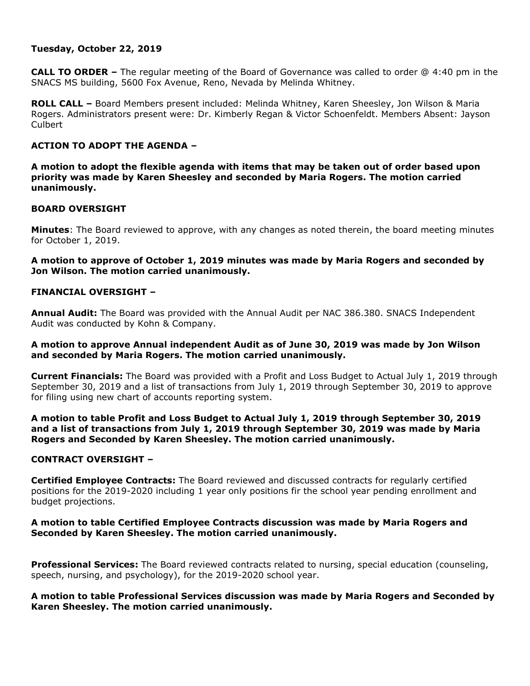### **Tuesday, October 22, 2019**

**CALL TO ORDER –** The regular meeting of the Board of Governance was called to order @ 4:40 pm in the SNACS MS building, 5600 Fox Avenue, Reno, Nevada by Melinda Whitney.

**ROLL CALL –** Board Members present included: Melinda Whitney, Karen Sheesley, Jon Wilson & Maria Rogers. Administrators present were: Dr. Kimberly Regan & Victor Schoenfeldt. Members Absent: Jayson Culbert

### **ACTION TO ADOPT THE AGENDA –**

**A motion to adopt the flexible agenda with items that may be taken out of order based upon priority was made by Karen Sheesley and seconded by Maria Rogers. The motion carried unanimously.** 

### **BOARD OVERSIGHT**

**Minutes**: The Board reviewed to approve, with any changes as noted therein, the board meeting minutes for October 1, 2019.

**A motion to approve of October 1, 2019 minutes was made by Maria Rogers and seconded by Jon Wilson. The motion carried unanimously.**

### **FINANCIAL OVERSIGHT –**

**Annual Audit:** The Board was provided with the Annual Audit per NAC 386.380. SNACS Independent Audit was conducted by Kohn & Company.

### **A motion to approve Annual independent Audit as of June 30, 2019 was made by Jon Wilson and seconded by Maria Rogers. The motion carried unanimously.**

**Current Financials:** The Board was provided with a Profit and Loss Budget to Actual July 1, 2019 through September 30, 2019 and a list of transactions from July 1, 2019 through September 30, 2019 to approve for filing using new chart of accounts reporting system.

### **A motion to table Profit and Loss Budget to Actual July 1, 2019 through September 30, 2019 and a list of transactions from July 1, 2019 through September 30, 2019 was made by Maria Rogers and Seconded by Karen Sheesley. The motion carried unanimously.**

## **CONTRACT OVERSIGHT –**

**Certified Employee Contracts:** The Board reviewed and discussed contracts for regularly certified positions for the 2019-2020 including 1 year only positions fir the school year pending enrollment and budget projections.

### **A motion to table Certified Employee Contracts discussion was made by Maria Rogers and Seconded by Karen Sheesley. The motion carried unanimously.**

**Professional Services:** The Board reviewed contracts related to nursing, special education (counseling, speech, nursing, and psychology), for the 2019-2020 school year.

### **A motion to table Professional Services discussion was made by Maria Rogers and Seconded by Karen Sheesley. The motion carried unanimously.**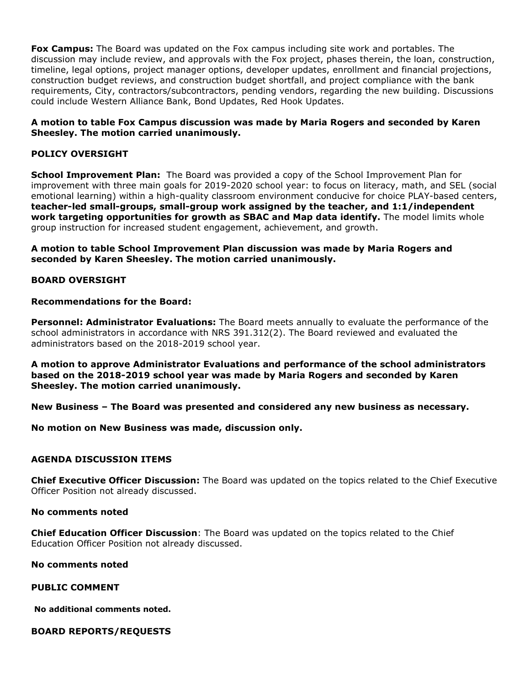**Fox Campus:** The Board was updated on the Fox campus including site work and portables. The discussion may include review, and approvals with the Fox project, phases therein, the loan, construction, timeline, legal options, project manager options, developer updates, enrollment and financial projections, construction budget reviews, and construction budget shortfall, and project compliance with the bank requirements, City, contractors/subcontractors, pending vendors, regarding the new building. Discussions could include Western Alliance Bank, Bond Updates, Red Hook Updates.

# **A motion to table Fox Campus discussion was made by Maria Rogers and seconded by Karen Sheesley. The motion carried unanimously.**

# **POLICY OVERSIGHT**

**School Improvement Plan:** The Board was provided a copy of the School Improvement Plan for improvement with three main goals for 2019-2020 school year: to focus on literacy, math, and SEL (social emotional learning) within a high-quality classroom environment conducive for choice PLAY-based centers, **teacher-led small-groups, small-group work assigned by the teacher, and 1:1/independent work targeting opportunities for growth as SBAC and Map data identify.** The model limits whole group instruction for increased student engagement, achievement, and growth.

## **A motion to table School Improvement Plan discussion was made by Maria Rogers and seconded by Karen Sheesley. The motion carried unanimously.**

## **BOARD OVERSIGHT**

## **Recommendations for the Board:**

**Personnel: Administrator Evaluations:** The Board meets annually to evaluate the performance of the school administrators in accordance with NRS 391.312(2). The Board reviewed and evaluated the administrators based on the 2018-2019 school year.

**A motion to approve Administrator Evaluations and performance of the school administrators based on the 2018-2019 school year was made by Maria Rogers and seconded by Karen Sheesley. The motion carried unanimously.** 

**New Business – The Board was presented and considered any new business as necessary.** 

**No motion on New Business was made, discussion only.**

## **AGENDA DISCUSSION ITEMS**

**Chief Executive Officer Discussion:** The Board was updated on the topics related to the Chief Executive Officer Position not already discussed.

#### **No comments noted**

**Chief Education Officer Discussion**: The Board was updated on the topics related to the Chief Education Officer Position not already discussed.

**No comments noted**

**PUBLIC COMMENT**

**No additional comments noted.**

**BOARD REPORTS/REQUESTS**